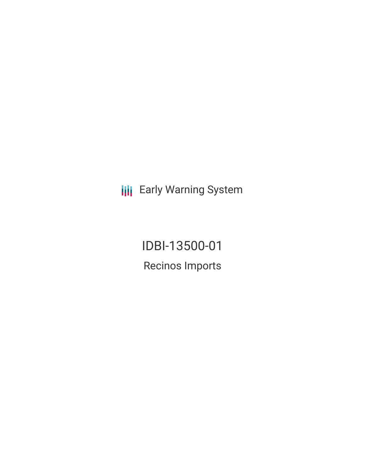**III** Early Warning System

IDBI-13500-01 Recinos Imports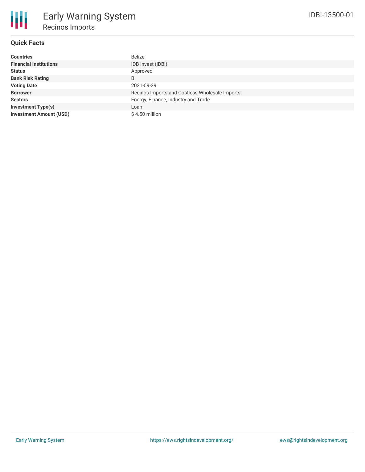# **Quick Facts**

| <b>Countries</b>               | Belize                                         |
|--------------------------------|------------------------------------------------|
| <b>Financial Institutions</b>  | IDB Invest (IDBI)                              |
| <b>Status</b>                  | Approved                                       |
| <b>Bank Risk Rating</b>        | B                                              |
| <b>Voting Date</b>             | 2021-09-29                                     |
| <b>Borrower</b>                | Recinos Imports and Costless Wholesale Imports |
| <b>Sectors</b>                 | Energy, Finance, Industry and Trade            |
| <b>Investment Type(s)</b>      | Loan                                           |
| <b>Investment Amount (USD)</b> | $$4.50$ million                                |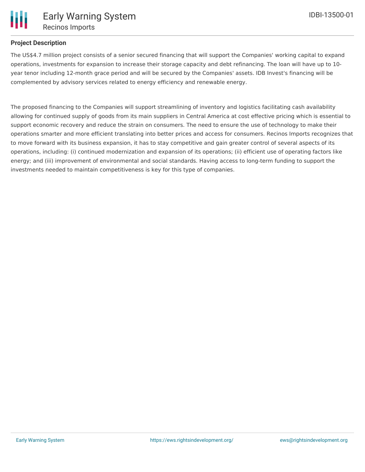## **Project Description**

The US\$4.7 million project consists of a senior secured financing that will support the Companies' working capital to expand operations, investments for expansion to increase their storage capacity and debt refinancing. The loan will have up to 10 year tenor including 12-month grace period and will be secured by the Companies' assets. IDB Invest's financing will be complemented by advisory services related to energy efficiency and renewable energy.

The proposed financing to the Companies will support streamlining of inventory and logistics facilitating cash availability allowing for continued supply of goods from its main suppliers in Central America at cost effective pricing which is essential to support economic recovery and reduce the strain on consumers. The need to ensure the use of technology to make their operations smarter and more efficient translating into better prices and access for consumers. Recinos Imports recognizes that to move forward with its business expansion, it has to stay competitive and gain greater control of several aspects of its operations, including: (i) continued modernization and expansion of its operations; (ii) efficient use of operating factors like energy; and (iii) improvement of environmental and social standards. Having access to long-term funding to support the investments needed to maintain competitiveness is key for this type of companies.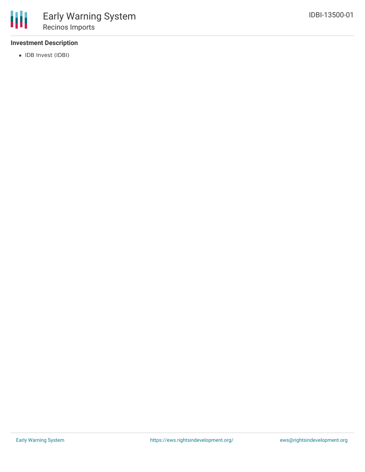

## **Investment Description**

• IDB Invest (IDBI)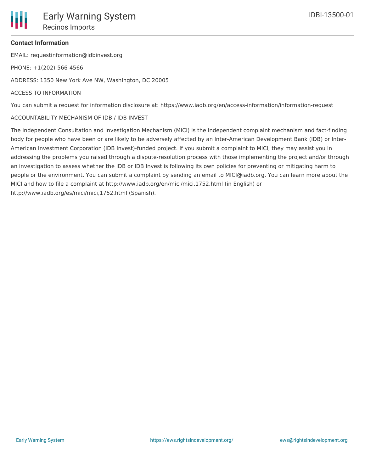EMAIL: requestinformation@idbinvest.org

PHONE: +1(202)-566-4566

ADDRESS: 1350 New York Ave NW, Washington, DC 20005

#### ACCESS TO INFORMATION

You can submit a request for information disclosure at: https://www.iadb.org/en/access-information/information-request

#### ACCOUNTABILITY MECHANISM OF IDB / IDB INVEST

The Independent Consultation and Investigation Mechanism (MICI) is the independent complaint mechanism and fact-finding body for people who have been or are likely to be adversely affected by an Inter-American Development Bank (IDB) or Inter-American Investment Corporation (IDB Invest)-funded project. If you submit a complaint to MICI, they may assist you in addressing the problems you raised through a dispute-resolution process with those implementing the project and/or through an investigation to assess whether the IDB or IDB Invest is following its own policies for preventing or mitigating harm to people or the environment. You can submit a complaint by sending an email to MICI@iadb.org. You can learn more about the MICI and how to file a complaint at http://www.iadb.org/en/mici/mici,1752.html (in English) or http://www.iadb.org/es/mici/mici,1752.html (Spanish).